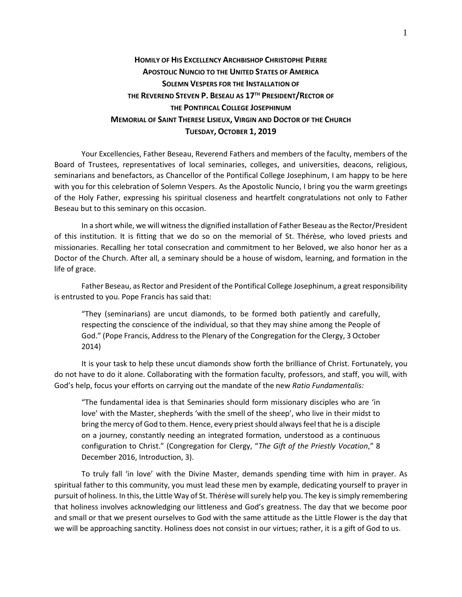## **HOMILY OF HIS EXCELLENCY ARCHBISHOP CHRISTOPHE PIERRE APOSTOLIC NUNCIO TO THE UNITED STATES OF AMERICA SOLEMN VESPERS FOR THE INSTALLATION OF THE REVEREND STEVEN P. BESEAU AS 17TH PRESIDENT/RECTOR OF THE PONTIFICAL COLLEGE JOSEPHINUM MEMORIAL OF SAINT THERESE LISIEUX, VIRGIN AND DOCTOR OF THE CHURCH TUESDAY, OCTOBER 1, 2019**

Your Excellencies, Father Beseau, Reverend Fathers and members of the faculty, members of the Board of Trustees, representatives of local seminaries, colleges, and universities, deacons, religious, seminarians and benefactors, as Chancellor of the Pontifical College Josephinum, I am happy to be here with you for this celebration of Solemn Vespers. As the Apostolic Nuncio, I bring you the warm greetings of the Holy Father, expressing his spiritual closeness and heartfelt congratulations not only to Father Beseau but to this seminary on this occasion.

In a short while, we will witness the dignified installation of Father Beseau as the Rector/President of this institution. It is fitting that we do so on the memorial of St. Thérèse, who loved priests and missionaries. Recalling her total consecration and commitment to her Beloved, we also honor her as a Doctor of the Church. After all, a seminary should be a house of wisdom, learning, and formation in the life of grace.

Father Beseau, as Rector and President of the Pontifical College Josephinum, a great responsibility is entrusted to you. Pope Francis has said that:

"They (seminarians) are uncut diamonds, to be formed both patiently and carefully, respecting the conscience of the individual, so that they may shine among the People of God." (Pope Francis, Address to the Plenary of the Congregation for the Clergy, 3 October 2014)

It is your task to help these uncut diamonds show forth the brilliance of Christ. Fortunately, you do not have to do it alone. Collaborating with the formation faculty, professors, and staff, you will, with God's help, focus your efforts on carrying out the mandate of the new *Ratio Fundamentalis:*

"The fundamental idea is that Seminaries should form missionary disciples who are 'in love' with the Master, shepherds 'with the smell of the sheep', who live in their midst to bring the mercy of God to them. Hence, every priest should always feel that he is a disciple on a journey, constantly needing an integrated formation, understood as a continuous configuration to Christ." (Congregation for Clergy, "*The Gift of the Priestly Vocation*," 8 December 2016, Introduction, 3).

To truly fall 'in love' with the Divine Master, demands spending time with him in prayer. As spiritual father to this community, you must lead these men by example, dedicating yourself to prayer in pursuit of holiness. In this, the Little Way of St. Thérèse will surely help you. The key is simply remembering that holiness involves acknowledging our littleness and God's greatness. The day that we become poor and small or that we present ourselves to God with the same attitude as the Little Flower is the day that we will be approaching sanctity. Holiness does not consist in our virtues; rather, it is a gift of God to us.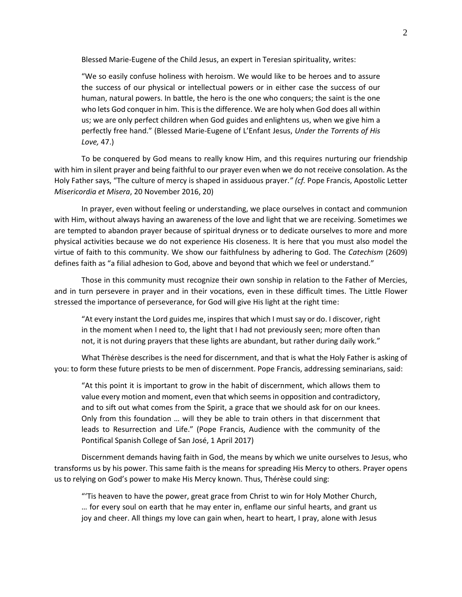Blessed Marie-Eugene of the Child Jesus, an expert in Teresian spirituality, writes:

"We so easily confuse holiness with heroism. We would like to be heroes and to assure the success of our physical or intellectual powers or in either case the success of our human, natural powers. In battle, the hero is the one who conquers; the saint is the one who lets God conquer in him. This is the difference. We are holy when God does all within us; we are only perfect children when God guides and enlightens us, when we give him a perfectly free hand." (Blessed Marie-Eugene of L'Enfant Jesus, *Under the Torrents of His Love,* 47.)

To be conquered by God means to really know Him, and this requires nurturing our friendship with him in silent prayer and being faithful to our prayer even when we do not receive consolation. As the Holy Father says, "The culture of mercy is shaped in assiduous prayer.*" (cf.* Pope Francis, Apostolic Letter *Misericordia et Misera*, 20 November 2016, 20)

In prayer, even without feeling or understanding, we place ourselves in contact and communion with Him, without always having an awareness of the love and light that we are receiving. Sometimes we are tempted to abandon prayer because of spiritual dryness or to dedicate ourselves to more and more physical activities because we do not experience His closeness. It is here that you must also model the virtue of faith to this community. We show our faithfulness by adhering to God. The *Catechism* (2609) defines faith as "a filial adhesion to God, above and beyond that which we feel or understand."

Those in this community must recognize their own sonship in relation to the Father of Mercies, and in turn persevere in prayer and in their vocations, even in these difficult times. The Little Flower stressed the importance of perseverance, for God will give His light at the right time:

"At every instant the Lord guides me, inspires that which I must say or do. I discover, right in the moment when I need to, the light that I had not previously seen; more often than not, it is not during prayers that these lights are abundant, but rather during daily work."

What Thérèse describes is the need for discernment, and that is what the Holy Father is asking of you: to form these future priests to be men of discernment. Pope Francis, addressing seminarians, said:

"At this point it is important to grow in the habit of discernment, which allows them to value every motion and moment, even that which seems in opposition and contradictory, and to sift out what comes from the Spirit, a grace that we should ask for on our knees. Only from this foundation … will they be able to train others in that discernment that leads to Resurrection and Life." (Pope Francis, Audience with the community of the Pontifical Spanish College of San José, 1 April 2017)

Discernment demands having faith in God, the means by which we unite ourselves to Jesus, who transforms us by his power. This same faith is the means for spreading His Mercy to others. Prayer opens us to relying on God's power to make His Mercy known. Thus, Thérèse could sing:

"'Tis heaven to have the power, great grace from Christ to win for Holy Mother Church, … for every soul on earth that he may enter in, enflame our sinful hearts, and grant us joy and cheer. All things my love can gain when, heart to heart, I pray, alone with Jesus